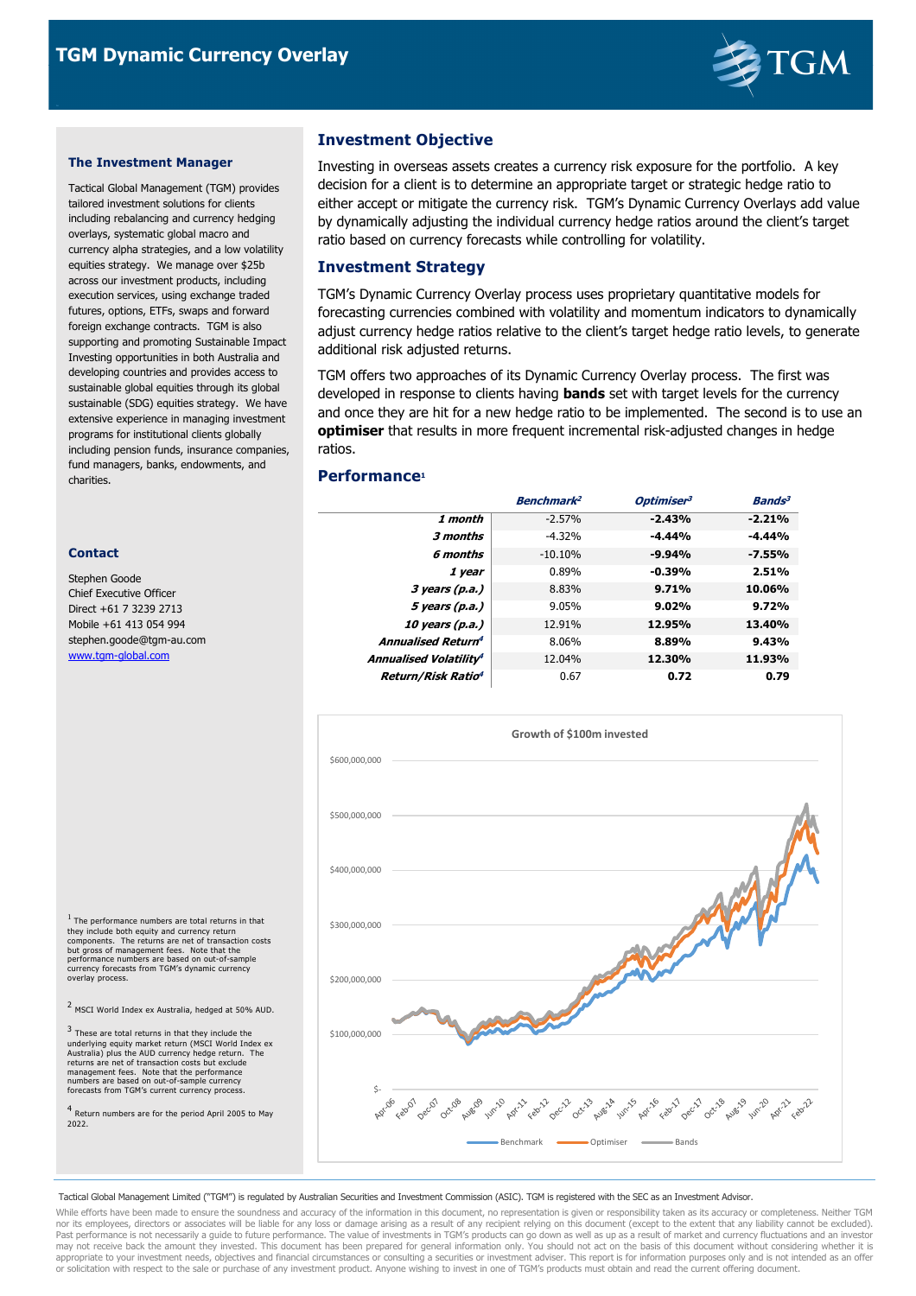

#### **The Investment Manager**

Tactical Global Management (TGM) provides tailored investment solutions for clients including rebalancing and currency hedging overlays, systematic global macro and currency alpha strategies, and a low volatility equities strategy. We manage over \$25b across our investment products, including execution services, using exchange traded futures, options, ETFs, swaps and forward foreign exchange contracts. TGM is also supporting and promoting Sustainable Impact Investing opportunities in both Australia and developing countries and provides access to sustainable global equities through its global sustainable (SDG) equities strategy. We have extensive experience in managing investment programs for institutional clients globally including pension funds, insurance companies, fund managers, banks, endowments, and charities.

#### **Contact**

Stephen Goode Chief Executive Officer Direct +61 7 3239 2713 Mobile +61 413 054 994 stephen.goode@tgm-au.com www.tgm-global.com

<sup>1</sup> The performance numbers are total returns in that they include both equity and currency return<br>components. The returns are net of transaction costs<br>but gross of management fees. Note that the<br>performance numbers are based on out-of-sample<br>currency forecasts from TGM's dyn overlay process.

<sup>2</sup> MSCI World Index ex Australia, hedged at 50% AUD.

3 These are total returns in that they include the underlying equity market return (MSCI World Index ex<br>Australia) plus the AUD currency hedge return. The<br>returns are net of transaction costs but exclude<br>management fees. Note that the performance<br>numbers are based on out-o

4 Return numbers are for the period April 2005 to May 2022.

# **Investment Objective**

Investing in overseas assets creates a currency risk exposure for the portfolio. A key decision for a client is to determine an appropriate target or strategic hedge ratio to either accept or mitigate the currency risk. TGM's Dynamic Currency Overlays add value by dynamically adjusting the individual currency hedge ratios around the client's target ratio based on currency forecasts while controlling for volatility.

## **Investment Strategy**

TGM's Dynamic Currency Overlay process uses proprietary quantitative models for forecasting currencies combined with volatility and momentum indicators to dynamically adjust currency hedge ratios relative to the client's target hedge ratio levels, to generate additional risk adjusted returns.

TGM offers two approaches of its Dynamic Currency Overlay process. The first was developed in response to clients having **bands** set with target levels for the currency and once they are hit for a new hedge ratio to be implemented. The second is to use an **optimiser** that results in more frequent incremental risk-adjusted changes in hedge ratios.

## **Performance<sup>1</sup>**

|                                      | <b>Benchmark<sup>2</sup></b> | Optimiser <sup>3</sup> | <b>Bands<sup>3</sup></b> |
|--------------------------------------|------------------------------|------------------------|--------------------------|
| 1 month                              | $-2.57%$                     | $-2.43%$               | $-2.21%$                 |
| 3 months                             | $-4.32%$                     | $-4.44%$               | $-4.44%$                 |
| 6 months                             | $-10.10%$                    | $-9.94%$               | $-7.55%$                 |
| 1 year                               | 0.89%                        | $-0.39%$               | 2.51%                    |
| 3 years (p.a.)                       | 8.83%                        | 9.71%                  | 10.06%                   |
| 5 years (p.a.)                       | 9.05%                        | 9.02%                  | 9.72%                    |
| 10 years (p.a.)                      | 12.91%                       | 12.95%                 | 13.40%                   |
| <b>Annualised Return<sup>4</sup></b> | 8.06%                        | 8.89%                  | 9.43%                    |
| Annualised Volatility <sup>4</sup>   | 12.04%                       | 12.30%                 | 11.93%                   |
| <b>Return/Risk Ratio<sup>4</sup></b> | 0.67                         | 0.72                   | 0.79                     |



Tactical Global Management Limited ("TGM") is regulated by Australian Securities and Investment Commission (ASIC). TGM is registered with the SEC as an Investment Advisor.

While efforts have been made to ensure the soundness and accuracy of the information in this document, no representation is given or responsibility taken as its accuracy or completeness. Neither TGM nor its employees, directors or associates will be liable for any loss or damage arising as a result of any recipient relying on this document (except to the extent that any liability cannot be excluded).<br>Past performance may not receive back the amount they invested. This document has been prepared for general information only. You should not act on the basis of this document without considering whether it is<br>appropriate to your investment or solicitation with respect to the sale or purchase of any investment product. Anyone wishing to invest in one of TGM's products must obtain and read the current offering document.